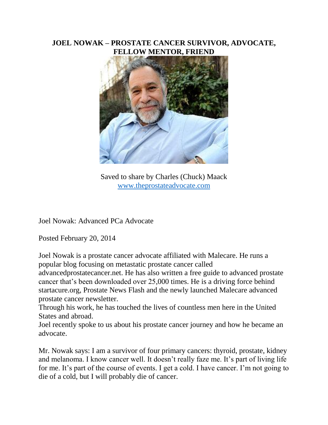## **JOEL NOWAK – PROSTATE CANCER SURVIVOR, ADVOCATE, FELLOW MENTOR, FRIEND**



Saved to share by Charles (Chuck) Maack [www.theprostateadvocate.com](http://www.theprostateadvocate.com/)

Joel Nowak: Advanced PCa Advocate

Posted February 20, 2014

Joel Nowak is a prostate cancer advocate affiliated with Malecare. He runs a popular blog focusing on metastatic prostate cancer called

advancedprostatecancer.net. He has also written a free guide to advanced prostate cancer that's been downloaded over 25,000 times. He is a driving force behind startacure.org, Prostate News Flash and the newly launched Malecare advanced prostate cancer newsletter.

Through his work, he has touched the lives of countless men here in the United States and abroad.

Joel recently spoke to us about his prostate cancer journey and how he became an advocate.

Mr. Nowak says: I am a survivor of four primary cancers: thyroid, prostate, kidney and melanoma. I know cancer well. It doesn't really faze me. It's part of living life for me. It's part of the course of events. I get a cold. I have cancer. I'm not going to die of a cold, but I will probably die of cancer.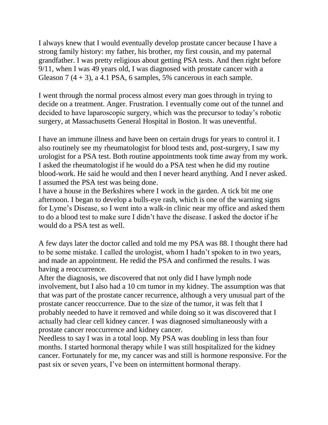I always knew that I would eventually develop prostate cancer because I have a strong family history: my father, his brother, my first cousin, and my paternal grandfather. I was pretty religious about getting PSA tests. And then right before 9/11, when I was 49 years old, I was diagnosed with prostate cancer with a Gleason 7  $(4 + 3)$ , a 4.1 PSA, 6 samples, 5% cancerous in each sample.

I went through the normal process almost every man goes through in trying to decide on a treatment. Anger. Frustration. I eventually come out of the tunnel and decided to have laparoscopic surgery, which was the precursor to today's robotic surgery, at Massachusetts General Hospital in Boston. It was uneventful.

I have an immune illness and have been on certain drugs for years to control it. I also routinely see my rheumatologist for blood tests and, post-surgery, I saw my urologist for a PSA test. Both routine appointments took time away from my work. I asked the rheumatologist if he would do a PSA test when he did my routine blood-work. He said he would and then I never heard anything. And I never asked. I assumed the PSA test was being done.

I have a house in the Berkshires where I work in the garden. A tick bit me one afternoon. I began to develop a bulls-eye rash, which is one of the warning signs for Lyme's Disease, so I went into a walk-in clinic near my office and asked them to do a blood test to make sure I didn't have the disease. I asked the doctor if he would do a PSA test as well.

A few days later the doctor called and told me my PSA was 88. I thought there had to be some mistake. I called the urologist, whom I hadn't spoken to in two years, and made an appointment. He redid the PSA and confirmed the results. I was having a reoccurrence.

After the diagnosis, we discovered that not only did I have lymph node involvement, but I also had a 10 cm tumor in my kidney. The assumption was that that was part of the prostate cancer recurrence, although a very unusual part of the prostate cancer reoccurrence. Due to the size of the tumor, it was felt that I probably needed to have it removed and while doing so it was discovered that I actually had clear cell kidney cancer. I was diagnosed simultaneously with a prostate cancer reoccurrence and kidney cancer.

Needless to say I was in a total loop. My PSA was doubling in less than four months. I started hormonal therapy while I was still hospitalized for the kidney cancer. Fortunately for me, my cancer was and still is hormone responsive. For the past six or seven years, I've been on intermittent hormonal therapy.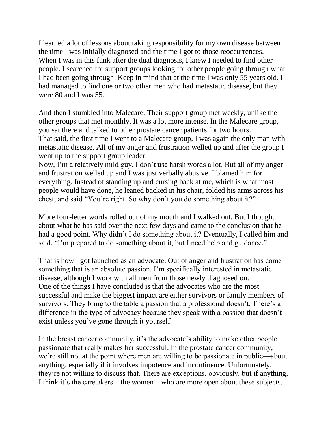I learned a lot of lessons about taking responsibility for my own disease between the time I was initially diagnosed and the time I got to those reoccurrences. When I was in this funk after the dual diagnosis, I knew I needed to find other people. I searched for support groups looking for other people going through what I had been going through. Keep in mind that at the time I was only 55 years old. I had managed to find one or two other men who had metastatic disease, but they were 80 and I was 55.

And then I stumbled into Malecare. Their support group met weekly, unlike the other groups that met monthly. It was a lot more intense. In the Malecare group, you sat there and talked to other prostate cancer patients for two hours. That said, the first time I went to a Malecare group, I was again the only man with metastatic disease. All of my anger and frustration welled up and after the group I went up to the support group leader.

Now, I'm a relatively mild guy. I don't use harsh words a lot. But all of my anger and frustration welled up and I was just verbally abusive. I blamed him for everything. Instead of standing up and cursing back at me, which is what most people would have done, he leaned backed in his chair, folded his arms across his chest, and said "You're right. So why don't you do something about it?"

More four-letter words rolled out of my mouth and I walked out. But I thought about what he has said over the next few days and came to the conclusion that he had a good point. Why didn't I do something about it? Eventually, I called him and said, "I'm prepared to do something about it, but I need help and guidance."

That is how I got launched as an advocate. Out of anger and frustration has come something that is an absolute passion. I'm specifically interested in metastatic disease, although I work with all men from those newly diagnosed on. One of the things I have concluded is that the advocates who are the most successful and make the biggest impact are either survivors or family members of survivors. They bring to the table a passion that a professional doesn't. There's a difference in the type of advocacy because they speak with a passion that doesn't exist unless you've gone through it yourself.

In the breast cancer community, it's the advocate's ability to make other people passionate that really makes her successful. In the prostate cancer community, we're still not at the point where men are willing to be passionate in public—about anything, especially if it involves impotence and incontinence. Unfortunately, they're not willing to discuss that. There are exceptions, obviously, but if anything, I think it's the caretakers—the women—who are more open about these subjects.